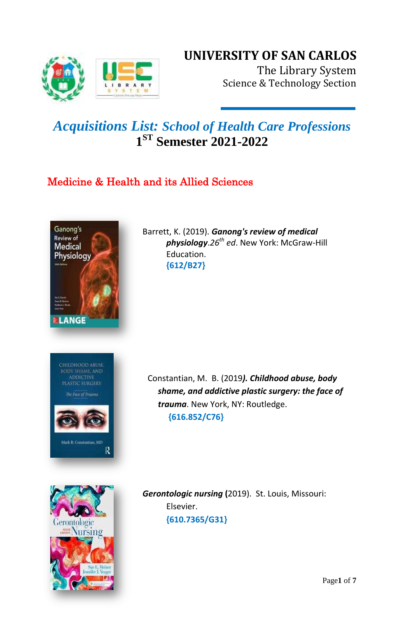

# **UNIVERSITY OF SAN CARLOS**

The Library System Science & Technology Section

# *Acquisitions List: School of Health Care Professions* **1 ST Semester 2021-2022**

## Medicine & Health and its Allied Sciences



СНІІДНООД АВUSE. **ADDICTIVE** 

The Face of Trauma

Mark B. Constantian, MD

R

Barrett, K. (2019). *Ganong's review of medical physiology*.*26th ed*. New York: McGraw-Hill Education. **{612/B27}**

Constantian, M. B. (2019*). Childhood abuse, body shame, and addictive plastic surgery: the face of trauma*. New York, NY: Routledge. **{616.852/C76}**



*Gerontologic nursing* **(**2019). St. Louis, Missouri: Elsevier.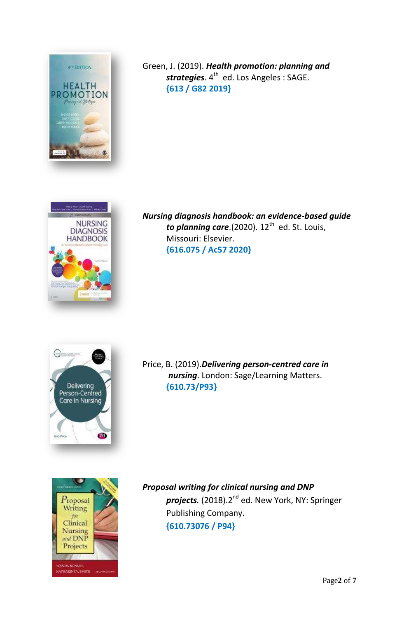

Green, J. (2019). *Health promotion: planning and*  strategies. 4<sup>th</sup> ed. Los Angeles : SAGE. **{613 / G82 2019}**



*Nursing diagnosis handbook: an evidence-based guide*  to planning care.(2020). 12<sup>th</sup> ed. St. Louis, Missouri: Elsevier. **{616.075 / Ac57 2020}**



Price, B. (2019).*Delivering person-centred care in nursing*. London: Sage/Learning Matters. **{610.73/P93}**



*Proposal writing for clinical nursing and DNP projects.* (2018).2nd ed. New York, NY: Springer Publishing Company. **{610.73076 / P94}**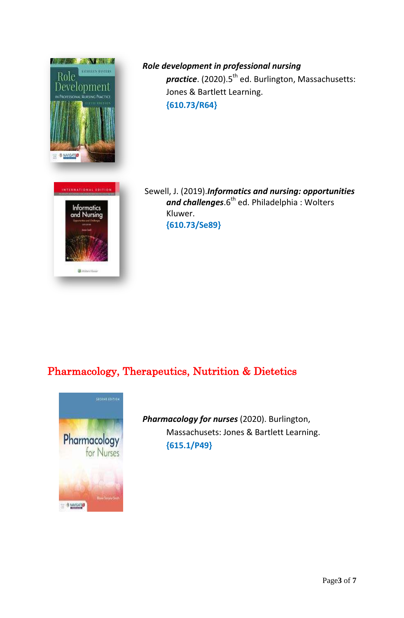

*Role development in professional nursing practice*. (2020).5<sup>th</sup> ed. Burlington, Massachusetts: Jones & Bartlett Learning. **{610.73/R64}**

Sewell, J. (2019).*Informatics and nursing: opportunities*  and challenges.6<sup>th</sup> ed. Philadelphia : Wolters Kluwer. **{610.73/Se89}**

## Pharmacology, Therapeutics, Nutrition & Dietetics



*Pharmacology for nurses* (2020). Burlington, Massachusets: Jones & Bartlett Learning. **{615.1/P49}**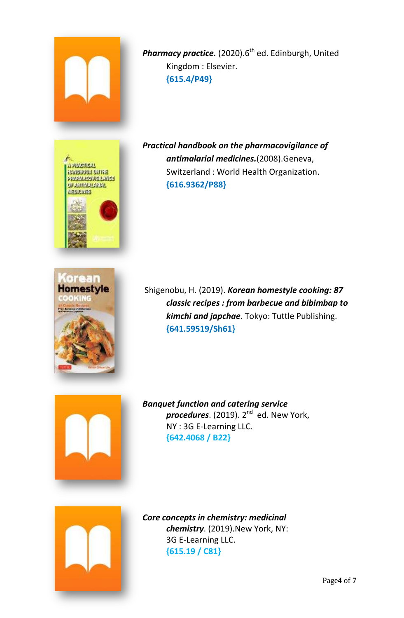

Pharmacy practice. (2020).6<sup>th</sup> ed. Edinburgh, United Kingdom : Elsevier. **{615.4/P49}**





*Practical handbook on the pharmacovigilance of antimalarial medicines.*(2008).Geneva, Switzerland : World Health Organization. **{616.9362/P88}**

Shigenobu, H. (2019). *Korean homestyle cooking: 87 classic recipes : from barbecue and bibimbap to kimchi and japchae*. Tokyo: Tuttle Publishing. **{641.59519/Sh61}**



*Banquet function and catering service procedures*. (2019). 2<sup>nd</sup> ed. New York*,* NY : 3G E-Learning LLC. **{642.4068 / B22}**



*Core concepts in chemistry: medicinal chemistry*. (2019).New York, NY: 3G E-Learning LLC. **{615.19 / C81}**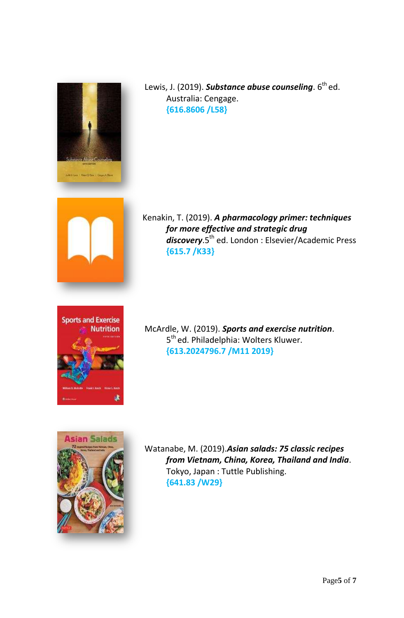

Lewis, J. (2019). **Substance abuse counseling**. 6<sup>th</sup> ed. Australia: Cengage. **{616.8606 /L58}**



[K](http://tlc.library.usc.edu.ph:8080/)enakin, T. (2019). *A pharmacology primer: techniques for more effective and strategic drug discovery*.5th ed. London : Elsevier/Academic Press **{615.7 /K33}**



McArdle, W. (2019). *Sports and exercise nutrition*. 5<sup>th</sup> ed. Philadelphia: Wolters Kluwer. **{613.2024796.7 /M11 2019}**



Watanabe, M. (2019).*Asian salads: 75 classic recipes from Vietnam, China, Korea, Thailand and India*. Tokyo, Japan : Tuttle Publishing. **{641.83 /W29}**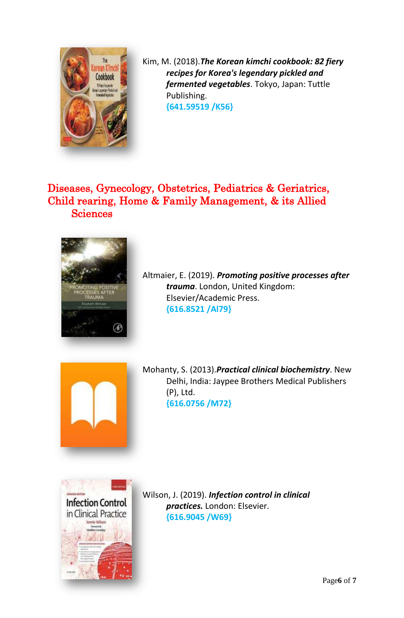

[K](http://tlc.library.usc.edu.ph:8080/)im, M. (2018).*The Korean kimchi cookbook: 82 fiery recipes for Korea's legendary pickled and fermented vegetables*. Tokyo, Japan: Tuttle Publishing. **{641.59519 /K56}**

### Diseases, Gynecology, Obstetrics, Pediatrics & Geriatrics, Child rearing, Home & Family Management, & its Allied **Sciences**



[A](http://tlc.library.usc.edu.ph:8080/)ltmaier, E. (2019). *Promoting positive processes after trauma*. London, United Kingdom: Elsevier/Academic Press. **{616.8521 /Al79}**



[M](http://tlc.library.usc.edu.ph:8080/)ohanty, S. (2013).*Practical clinical biochemistry*. New Delhi, India: Jaypee Brothers Medical Publishers (P), Ltd. **{616.0756 /M72}**



[Wi](http://tlc.library.usc.edu.ph:8080/)lson, J. (2019). *Infection control in clinical practices.* London: Elsevier. **{616.9045 /W69}**